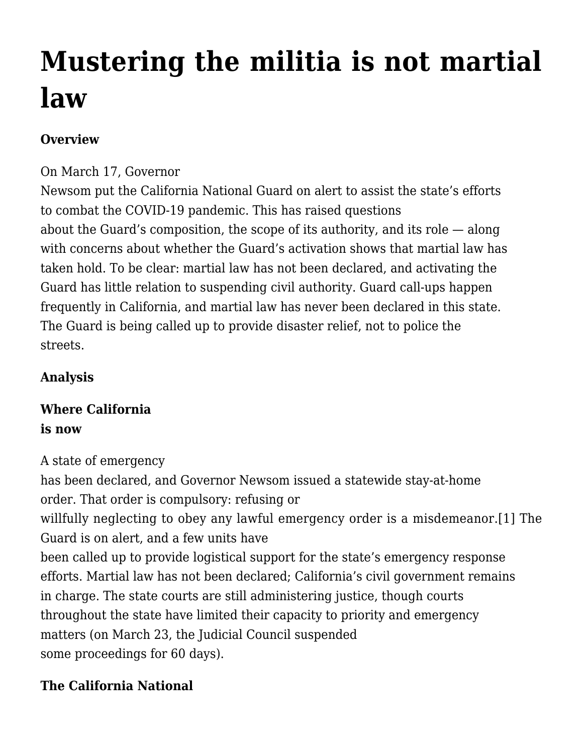# **[Mustering the militia is not martial](https://scocablog.com/mustering-the-militia-is-not-martial-law/) [law](https://scocablog.com/mustering-the-militia-is-not-martial-law/)**

## **Overview**

#### On March 17, Governor

Newsom put the California National Guard on alert to assist the state's efforts to combat the COVID-19 pandemic. This has [raised questions](https://apnews.com/cbf37dfa7a2c2ccd0110914830916cdf) about the Guard's composition, the scope of its authority, and its role — along with concerns about whether the Guard's activation shows that martial law has taken hold. To be clear: martial law has not been declared, and activating the Guard has little relation to suspending civil authority. Guard call-ups happen frequently in California, and martial law has never been declared in this state. The Guard is being called up to provide disaster relief, not to police the streets.

#### **Analysis**

# **Where California is now**

A state of emergency

has been declared, and [Governor Newsom issued a statewide stay-at-home](https://www.gov.ca.gov/wp-content/uploads/2020/03/3.19.20-attested-EO-N-33-20-COVID-19-HEALTH-ORDER.pdf) [order.](https://www.gov.ca.gov/wp-content/uploads/2020/03/3.19.20-attested-EO-N-33-20-COVID-19-HEALTH-ORDER.pdf) That order is compulsory: refusing or willfully neglecting to obey any lawful emergency order is a misdemeanor.[\[1\]](#page--1-0) The Guard is on alert, and a few units have been called up to provide logistical support for the state's emergency response efforts. Martial law has not been declared; California's civil government remains in charge. The state courts are still administering justice, though courts throughout the state have limited their capacity to priority and emergency matters (on March 23, the [Judicial Council suspended](https://newsroom.courts.ca.gov/news/chief-justice-issues-statewide-order-suspending-jury-trials) some proceedings for 60 days).

## **The California National**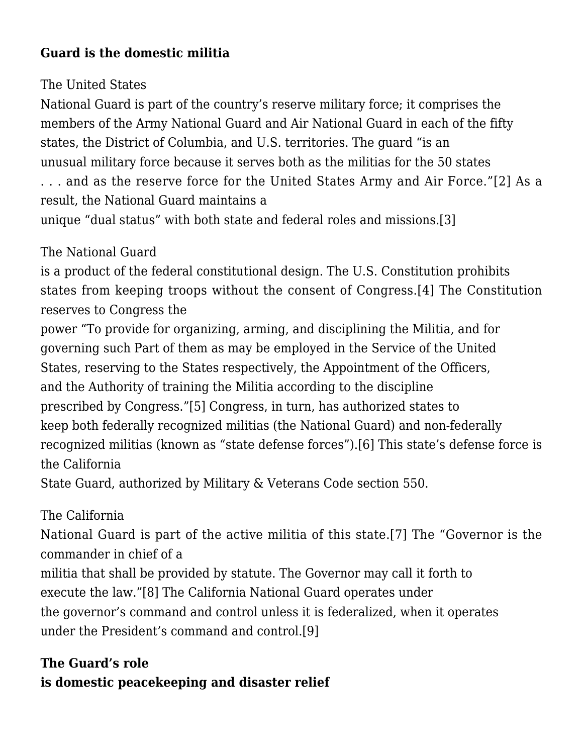## **Guard is the domestic militia**

## The United States

National Guard is part of the country's reserve military force; it comprises the members of the Army National Guard and Air National Guard in each of the fifty states, the District of Columbia, and U.S. territories. The guard "is an unusual military force because it serves both as the militias for the 50 states . . . and as the reserve force for the United States Army and Air Force."[\[2\]](#page--1-0) As a

result, the National Guard maintains a

unique "dual status" with both state and federal roles and missions.[\[3\]](#page--1-0)

# The National Guard

is a product of the federal constitutional design. The U.S. Constitution prohibits states from keeping troops without the consent of Congress.[\[4\]](#page--1-0) The Constitution reserves to Congress the

power "To provide for organizing, arming, and disciplining the Militia, and for governing such Part of them as may be employed in the Service of the United States, reserving to the States respectively, the Appointment of the Officers, and the Authority of training the Militia according to the discipline prescribed by Congress."[\[5\]](#page--1-0) Congress, in turn, has authorized states to keep both federally recognized militias (the National Guard) and non-federally recognized militias (known as "state defense forces")[.\[6\]](#page--1-0) This state's defense force is the California

State Guard, authorized by Military & Veterans Code section 550.

# The California

National Guard is part of the active militia of this state.[\[7\]](#page--1-0) The "Governor is the commander in chief of a

militia that shall be provided by statute. The Governor may call it forth to execute the law."[\[8\]](#page--1-0) The California National Guard operates under the governor's command and control unless it is federalized, when it operates under the President's command and control.[\[9\]](#page--1-0)

# **The Guard's role is domestic peacekeeping and disaster relief**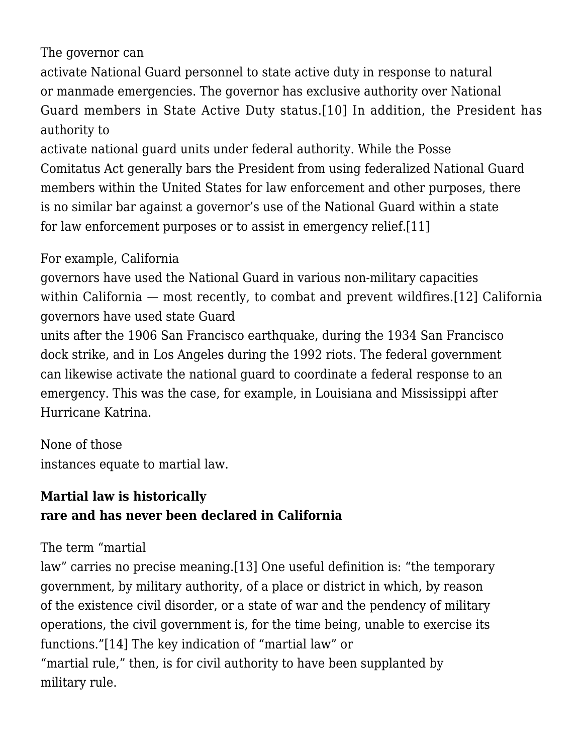#### The governor can

activate National Guard personnel to state active duty in response to natural or manmade emergencies. The governor has exclusive authority over National Guard members in State Active Duty status.[\[10\]](#page--1-0) In addition, the President has authority to

activate national guard units under federal authority. While the Posse Comitatus Act generally bars the President from using federalized National Guard members within the United States for law enforcement and other purposes, there is no similar bar against a governor's use of the National Guard within a state for law enforcement purposes or to assist in emergency relief.[\[11\]](#page--1-0)

#### For example, California

governors have used the National Guard in various non-military capacities within California – most recently, to combat and prevent wildfires.[\[12\]](#page--1-0) California governors have used state Guard

units after the 1906 San Francisco earthquake, during the 1934 San Francisco dock strike, and in Los Angeles during the 1992 riots. The federal government can likewise activate the national guard to coordinate a federal response to an emergency. This was the case, for example, in Louisiana and Mississippi after Hurricane Katrina.

None of those instances equate to martial law.

# **Martial law is historically rare and has never been declared in California**

#### The term "martial

law" carries no precise meaning.[\[13\]](#page--1-0) One useful definition is: "the temporary government, by military authority, of a place or district in which, by reason of the existence civil disorder, or a state of war and the pendency of military operations, the civil government is, for the time being, unable to exercise its functions."[\[14\]](#page--1-0) The key indication of "martial law" or "martial rule," then, is for civil authority to have been supplanted by military rule.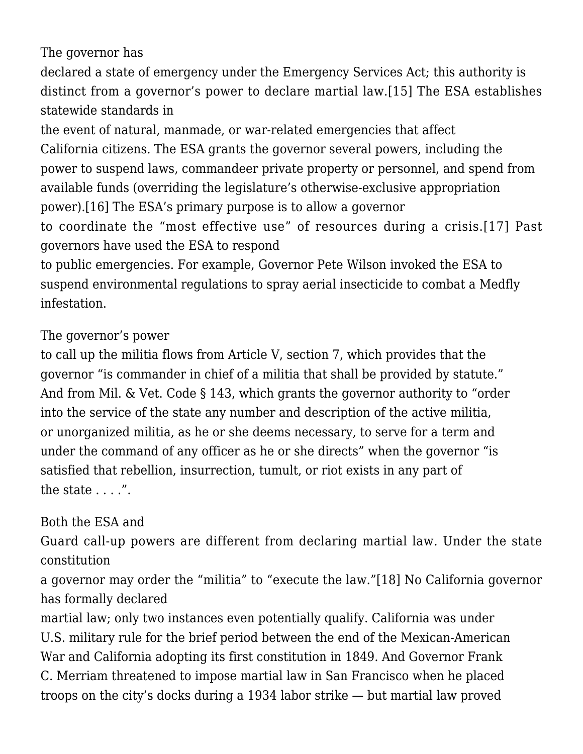The governor has

declared a state of emergency under the Emergency Services Act; this authority is distinct from a governor's power to declare martial law.[\[15\]](#page--1-0) The ESA establishes statewide standards in

the event of natural, manmade, or war-related emergencies that affect California citizens. The ESA grants the governor several powers, including the power to suspend laws, commandeer private property or personnel, and spend from available funds (overriding the legislature's otherwise-exclusive appropriation power).[\[16\]](#page--1-0) The ESA's primary purpose is to allow a governor

to coordinate the "most effective use" of resources during a crisis.[\[17\]](#page--1-0) Past governors have used the ESA to respond

to public emergencies. For example, Governor Pete Wilson invoked the ESA to suspend environmental regulations to spray aerial insecticide to combat a Medfly infestation.

The governor's power

to call up the militia flows from Article V, section 7, which provides that the governor "is commander in chief of a militia that shall be provided by statute." And from Mil. & Vet. Code § 143, which grants the governor authority to "order into the service of the state any number and description of the active militia, or unorganized militia, as he or she deems necessary, to serve for a term and under the command of any officer as he or she directs" when the governor "is satisfied that rebellion, insurrection, tumult, or riot exists in any part of the state  $\dots$ .".

## Both the ESA and

Guard call-up powers are different from declaring martial law. Under the state constitution

a governor may order the "militia" to "execute the law."[\[18\]](#page--1-0) No California governor has formally declared

martial law; only two instances even potentially qualify. California was under U.S. military rule for the brief period between the end of the Mexican-American War and California adopting its first constitution in 1849. And Governor Frank C. Merriam threatened to impose martial law in San Francisco when he placed troops on the city's docks during a 1934 labor strike — but martial law proved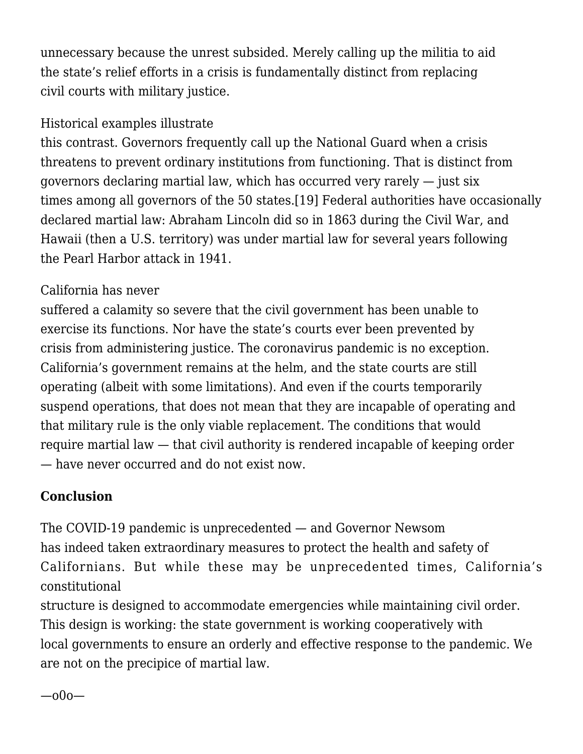unnecessary because the unrest subsided. Merely calling up the militia to aid the state's relief efforts in a crisis is fundamentally distinct from replacing civil courts with military justice.

## Historical examples illustrate

this contrast. Governors frequently call up the National Guard when a crisis threatens to prevent ordinary institutions from functioning. That is distinct from governors declaring martial law, which has occurred very rarely — just six times among all governors of the 50 states.[\[19\]](#page--1-0) Federal authorities have occasionally declared martial law: Abraham Lincoln did so in 1863 during the Civil War, and Hawaii (then a U.S. territory) was under martial law for several years following the Pearl Harbor attack in 1941.

## California has never

suffered a calamity so severe that the civil government has been unable to exercise its functions. Nor have the state's courts ever been prevented by crisis from administering justice. The coronavirus pandemic is no exception. California's government remains at the helm, and the state courts are still operating (albeit with some limitations). And even if the courts temporarily suspend operations, that does not mean that they are incapable of operating and that military rule is the only viable replacement. The conditions that would require martial law — that civil authority is rendered incapable of keeping order — have never occurred and do not exist now.

# **Conclusion**

The COVID-19 pandemic is unprecedented — and Governor Newsom has indeed taken extraordinary measures to protect the health and safety of Californians. But while these may be unprecedented times, California's constitutional

structure is designed to accommodate emergencies while maintaining civil order. This design is working: the state government is working cooperatively with local governments to ensure an orderly and effective response to the pandemic. We are not on the precipice of martial law.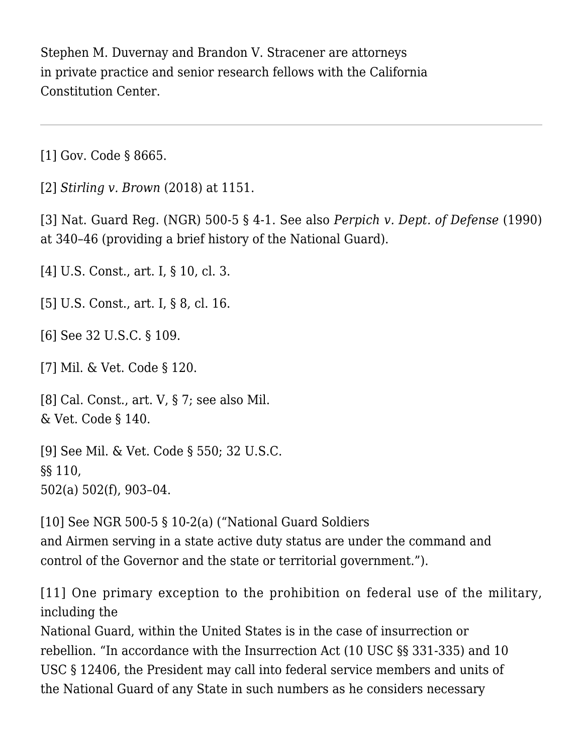Stephen M. Duvernay and Brandon V. Stracener are attorneys in private practice and senior research fellows with the California Constitution Center.

[\[1\]](#page--1-0) Gov. Code § 8665.

[\[2\]](#page--1-0) *[Stirling v. Brown](https://scholar.google.com/scholar_case?case=2060378352236939146&q=18+Cal.App.5th+1144&hl=en&as_sdt=2006)* [\(2018\)](https://scholar.google.com/scholar_case?case=2060378352236939146&q=18+Cal.App.5th+1144&hl=en&as_sdt=2006) at 1151.

[\[3\]](#page--1-0) Nat. Guard Reg. (NGR) 500-5 § 4-1. See also *[Perpich v. Dept. of Defense](https://scholar.google.com/scholar_case?case=2985014934048616285&q=496+U.S.+334&hl=en&as_sdt=2006)* [\(1990\)](https://scholar.google.com/scholar_case?case=2985014934048616285&q=496+U.S.+334&hl=en&as_sdt=2006) at 340–46 (providing a brief history of the National Guard).

[\[4\]](#page--1-0) U.S. Const., art. I, § 10, cl. 3.

[\[5\]](#page--1-0) U.S. Const., art. I, § 8, cl. 16.

[\[6\]](#page--1-0) See 32 U.S.C. § 109.

[\[7\]](#page--1-0) Mil. & Vet. Code § 120.

[\[8\]](#page--1-0) Cal. Const., art. V, § 7; see also Mil. & Vet. Code § 140.

[\[9\]](#page--1-0) See Mil. & Vet. Code § 550; 32 U.S.C. §§ 110, 502(a) 502(f), 903–04.

[\[10\]](#page--1-0) See NGR 500-5 § 10-2(a) ("National Guard Soldiers and Airmen serving in a state active duty status are under the command and control of the Governor and the state or territorial government.").

[\[11\]](#page--1-0) One primary exception to the prohibition on federal use of the military, including the

National Guard, within the United States is in the case of insurrection or rebellion. "In accordance with the Insurrection Act (10 USC §§ 331-335) and 10 USC § 12406, the President may call into federal service members and units of the National Guard of any State in such numbers as he considers necessary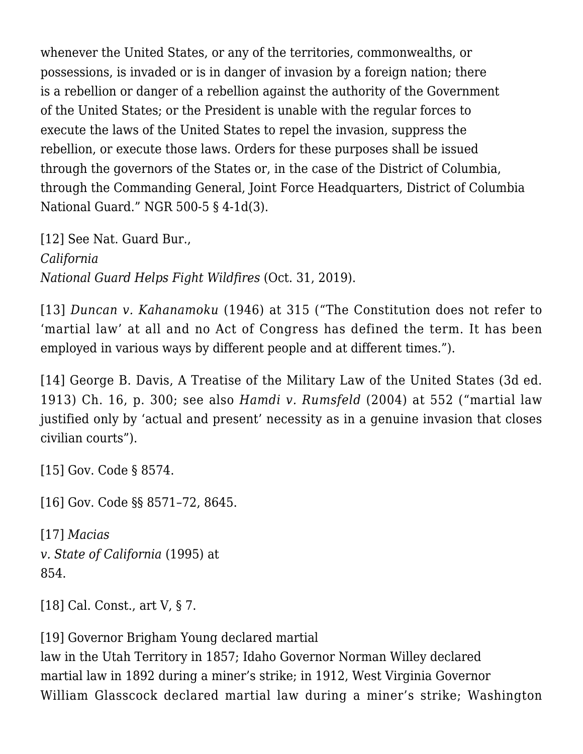whenever the United States, or any of the territories, commonwealths, or possessions, is invaded or is in danger of invasion by a foreign nation; there is a rebellion or danger of a rebellion against the authority of the Government of the United States; or the President is unable with the regular forces to execute the laws of the United States to repel the invasion, suppress the rebellion, or execute those laws. Orders for these purposes shall be issued through the governors of the States or, in the case of the District of Columbia, through the Commanding General, Joint Force Headquarters, District of Columbia National Guard." NGR 500-5 § 4-1d(3).

[\[12\]](#page--1-0) See Nat. Guard Bur., *[California](https://www.army.mil/article/229254/california_national_guard_helps_fight_wildfires) [National Guard Helps Fight Wildfires](https://www.army.mil/article/229254/california_national_guard_helps_fight_wildfires)* (Oct. 31, 2019).

[\[13\]](#page--1-0) *[Duncan v. Kahanamoku](https://scholar.google.com/scholar_case?case=6055010138008147415&q=327+U.S.+304&hl=en&as_sdt=2006)* [\(1946\)](https://scholar.google.com/scholar_case?case=6055010138008147415&q=327+U.S.+304&hl=en&as_sdt=2006) at 315 ("The Constitution does not refer to 'martial law' at all and no Act of Congress has defined the term. It has been employed in various ways by different people and at different times.").

[\[14\]](#page--1-0) George B. Davis, A Treatise of the Military Law of the United States (3d ed. 1913) Ch. 16, p. 300; see also *[Hamdi v. Rumsfeld](https://scholar.google.com/scholar_case?case=6173897153146757813&q=542+U.S.+507&hl=en&as_sdt=2006)* [\(2004\)](https://scholar.google.com/scholar_case?case=6173897153146757813&q=542+U.S.+507&hl=en&as_sdt=2006) at 552 ("martial law justified only by 'actual and present' necessity as in a genuine invasion that closes civilian courts").

[\[15\]](#page--1-0) Gov. Code § 8574.

[\[16\]](#page--1-0) Gov. Code §§ 8571–72, 8645.

[\[17\]](#page--1-0) *[Macias](https://scholar.google.com/scholar_case?case=13509869545274496115&q=10+Cal.4th+844&hl=en&as_sdt=2006) [v. State of California](https://scholar.google.com/scholar_case?case=13509869545274496115&q=10+Cal.4th+844&hl=en&as_sdt=2006)* (1995) at 854.

[\[18\]](#page--1-0) Cal. Const., art V, § 7.

[\[19\]](#page--1-0) Governor Brigham Young declared martial

law in the Utah Territory in 1857; Idaho Governor Norman Willey declared martial law in 1892 during a miner's strike; in 1912, West Virginia Governor William Glasscock declared martial law during a miner's strike; Washington